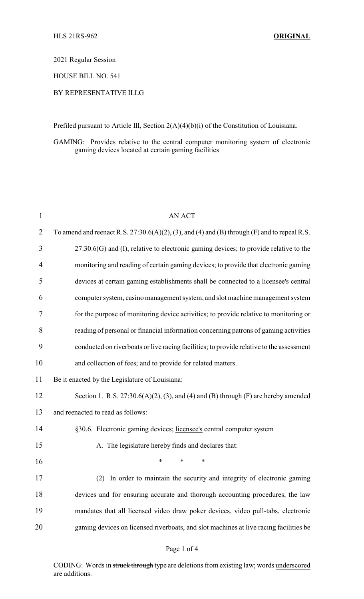2021 Regular Session

HOUSE BILL NO. 541

# BY REPRESENTATIVE ILLG

Prefiled pursuant to Article III, Section 2(A)(4)(b)(i) of the Constitution of Louisiana.

GAMING: Provides relative to the central computer monitoring system of electronic gaming devices located at certain gaming facilities

| $\mathbf{1}$   | <b>AN ACT</b>                                                                                   |
|----------------|-------------------------------------------------------------------------------------------------|
| $\overline{2}$ | To amend and reenact R.S. $27:30.6(A)(2)$ , (3), and (4) and (B) through (F) and to repeal R.S. |
| 3              | $27:30.6(G)$ and (I), relative to electronic gaming devices; to provide relative to the         |
| 4              | monitoring and reading of certain gaming devices; to provide that electronic gaming             |
| 5              | devices at certain gaming establishments shall be connected to a licensee's central             |
| 6              | computer system, casino management system, and slot machine management system                   |
| 7              | for the purpose of monitoring device activities; to provide relative to monitoring or           |
| 8              | reading of personal or financial information concerning patrons of gaming activities            |
| 9              | conducted on riverboats or live racing facilities; to provide relative to the assessment        |
| 10             | and collection of fees; and to provide for related matters.                                     |
| 11             | Be it enacted by the Legislature of Louisiana:                                                  |
| 12             | Section 1. R.S. $27:30.6(A)(2)$ , (3), and (4) and (B) through (F) are hereby amended           |
| 13             | and reenacted to read as follows:                                                               |
| 14             | §30.6. Electronic gaming devices; licensee's central computer system                            |
| 15             | A. The legislature hereby finds and declares that:                                              |
| 16             | *<br>*<br>∗                                                                                     |
| 17             | In order to maintain the security and integrity of electronic gaming                            |
| 18             | devices and for ensuring accurate and thorough accounting procedures, the law                   |
| 19             | mandates that all licensed video draw poker devices, video pull-tabs, electronic                |
| 20             | gaming devices on licensed riverboats, and slot machines at live racing facilities be           |

## Page 1 of 4

CODING: Words in struck through type are deletions from existing law; words underscored are additions.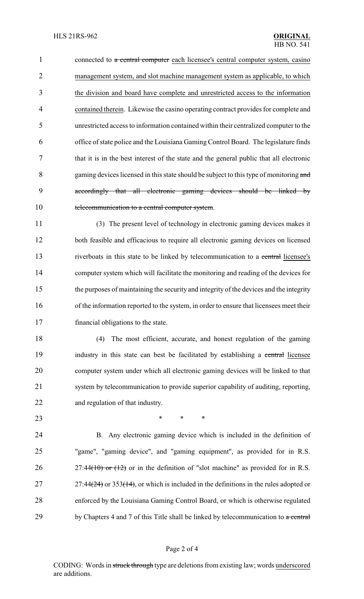1 connected to a central computer each licensee's central computer system, casino management system, and slot machine management system as applicable, to which the division and board have complete and unrestricted access to the information contained therein. Likewise the casino operating contract provides for complete and unrestricted access to information contained within their centralized computer to the office of state police and the Louisiana Gaming Control Board. The legislature finds that it is in the best interest of the state and the general public that all electronic 8 gaming devices licensed in this state should be subject to this type of monitoring and accordingly that all electronic gaming devices should be linked by 10 telecommunication to a central computer system.

 (3) The present level of technology in electronic gaming devices makes it both feasible and efficacious to require all electronic gaming devices on licensed 13 riverboats in this state to be linked by telecommunication to a central licensee's computer system which will facilitate the monitoring and reading of the devices for the purposes of maintaining the security and integrity of the devices and the integrity of the information reported to the system, in order to ensure that licensees meet their financial obligations to the state.

 (4) The most efficient, accurate, and honest regulation of the gaming 19 industry in this state can best be facilitated by establishing a central licensee computer system under which all electronic gaming devices will be linked to that system by telecommunication to provide superior capability of auditing, reporting, and regulation of that industry.

**\*** \* \* \*

 B. Any electronic gaming device which is included in the definition of "game", "gaming device", and "gaming equipment", as provided for in R.S. 26 27:44(10) or  $(12)$  or in the definition of "slot machine" as provided for in R.S. 27 27:44 $(24)$  or 353 $(14)$ , or which is included in the definitions in the rules adopted or enforced by the Louisiana Gaming Control Board, or which is otherwise regulated 29 by Chapters 4 and 7 of this Title shall be linked by telecommunication to  $\alpha$  central

#### Page 2 of 4

CODING: Words in struck through type are deletions from existing law; words underscored are additions.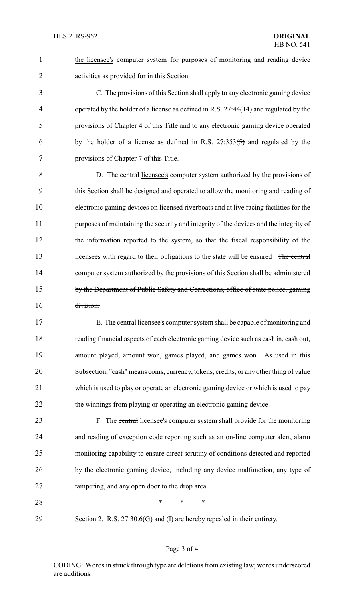the licensee's computer system for purposes of monitoring and reading device activities as provided for in this Section.

 C. The provisions of this Section shall apply to any electronic gaming device 4 operated by the holder of a license as defined in R.S. 27:44(14) and regulated by the provisions of Chapter 4 of this Title and to any electronic gaming device operated 6 by the holder of a license as defined in R.S.  $27:353(5)$  and regulated by the provisions of Chapter 7 of this Title.

 D. The central licensee's computer system authorized by the provisions of this Section shall be designed and operated to allow the monitoring and reading of electronic gaming devices on licensed riverboats and at live racing facilities for the purposes of maintaining the security and integrity of the devices and the integrity of the information reported to the system, so that the fiscal responsibility of the 13 licensees with regard to their obligations to the state will be ensured. The central 14 computer system authorized by the provisions of this Section shall be administered 15 by the Department of Public Safety and Corrections, office of state police, gaming division.

 E. The central licensee's computer system shall be capable of monitoring and reading financial aspects of each electronic gaming device such as cash in, cash out, amount played, amount won, games played, and games won. As used in this Subsection, "cash" means coins, currency, tokens, credits, or any other thing of value which is used to play or operate an electronic gaming device or which is used to pay 22 the winnings from playing or operating an electronic gaming device.

23 F. The central licensee's computer system shall provide for the monitoring and reading of exception code reporting such as an on-line computer alert, alarm monitoring capability to ensure direct scrutiny of conditions detected and reported by the electronic gaming device, including any device malfunction, any type of tampering, and any open door to the drop area.

**\*** \* \* \*

Section 2. R.S. 27:30.6(G) and (I) are hereby repealed in their entirety.

#### Page 3 of 4

CODING: Words in struck through type are deletions from existing law; words underscored are additions.